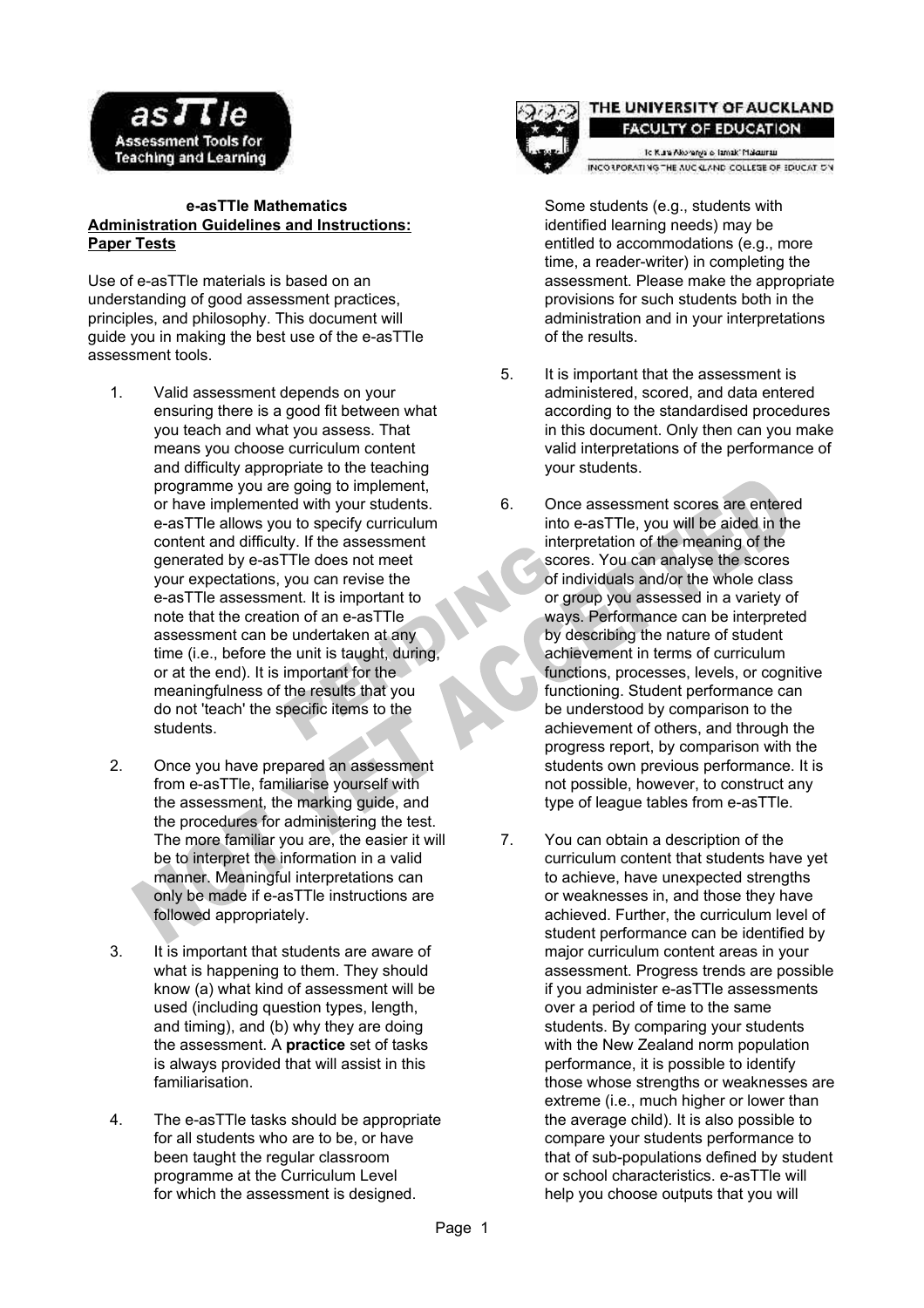

### **e-asTTle Mathematics Administration Guidelines and Instructions: Paper Tests**

Use of e-asTTle materials is based on an understanding of good assessment practices, principles, and philosophy. This document will guide you in making the best use of the e-asTTle assessment tools.

- 1. Valid assessment depends on your ensuring there is a good fit between what you teach and what you assess. That means you choose curriculum content and difficulty appropriate to the teaching programme you are going to implement, or have implemented with your students. e-asTTle allows you to specify curriculum content and difficulty. If the assessment generated by e-asTTle does not meet your expectations, you can revise the e-asTTle assessment. It is important to note that the creation of an e-asTTle assessment can be undertaken at any time (i.e., before the unit is taught, during, or at the end). It is important for the meaningfulness of the results that you do not 'teach' the specific items to the students.
- 2. Once you have prepared an assessment from e-asTTle, familiarise yourself with the assessment, the marking guide, and the procedures for administering the test. The more familiar you are, the easier it will be to interpret the information in a valid manner. Meaningful interpretations can only be made if e-asTTle instructions are followed appropriately.
- 3. It is important that students are aware of what is happening to them. They should know (a) what kind of assessment will be used (including question types, length, and timing), and (b) why they are doing the assessment. A **practice** set of tasks is always provided that will assist in this familiarisation.
- 4. The e-asTTle tasks should be appropriate for all students who are to be, or have been taught the regular classroom programme at the Curriculum Level for which the assessment is designed.



## THE UNIVERSITY OF AUCKLAND **FACULTY OF EDUCATION**

to Kura Alkoranga o Tamak' Makaurau INCO LPORATING THE AUC CLAND COLLEGE OF EDUCATION

Some students (e.g., students with identified learning needs) may be entitled to accommodations (e.g., more time, a reader-writer) in completing the assessment. Please make the appropriate provisions for such students both in the administration and in your interpretations of the results.

- 5. It is important that the assessment is administered, scored, and data entered according to the standardised procedures in this document. Only then can you make valid interpretations of the performance of your students.
- 6. Once assessment scores are entered into e-asTTle, you will be aided in the interpretation of the meaning of the scores. You can analyse the scores of individuals and/or the whole class or group you assessed in a variety of ways. Performance can be interpreted by describing the nature of student achievement in terms of curriculum functions, processes, levels, or cognitive functioning. Student performance can be understood by comparison to the achievement of others, and through the progress report, by comparison with the students own previous performance. It is not possible, however, to construct any type of league tables from e-asTTle.
- 7. You can obtain a description of the curriculum content that students have yet to achieve, have unexpected strengths or weaknesses in, and those they have achieved. Further, the curriculum level of student performance can be identified by major curriculum content areas in your assessment. Progress trends are possible if you administer e-asTTle assessments over a period of time to the same students. By comparing your students with the New Zealand norm population performance, it is possible to identify those whose strengths or weaknesses are extreme (i.e., much higher or lower than the average child). It is also possible to compare your students performance to that of sub-populations defined by student or school characteristics. e-asTTle will help you choose outputs that you will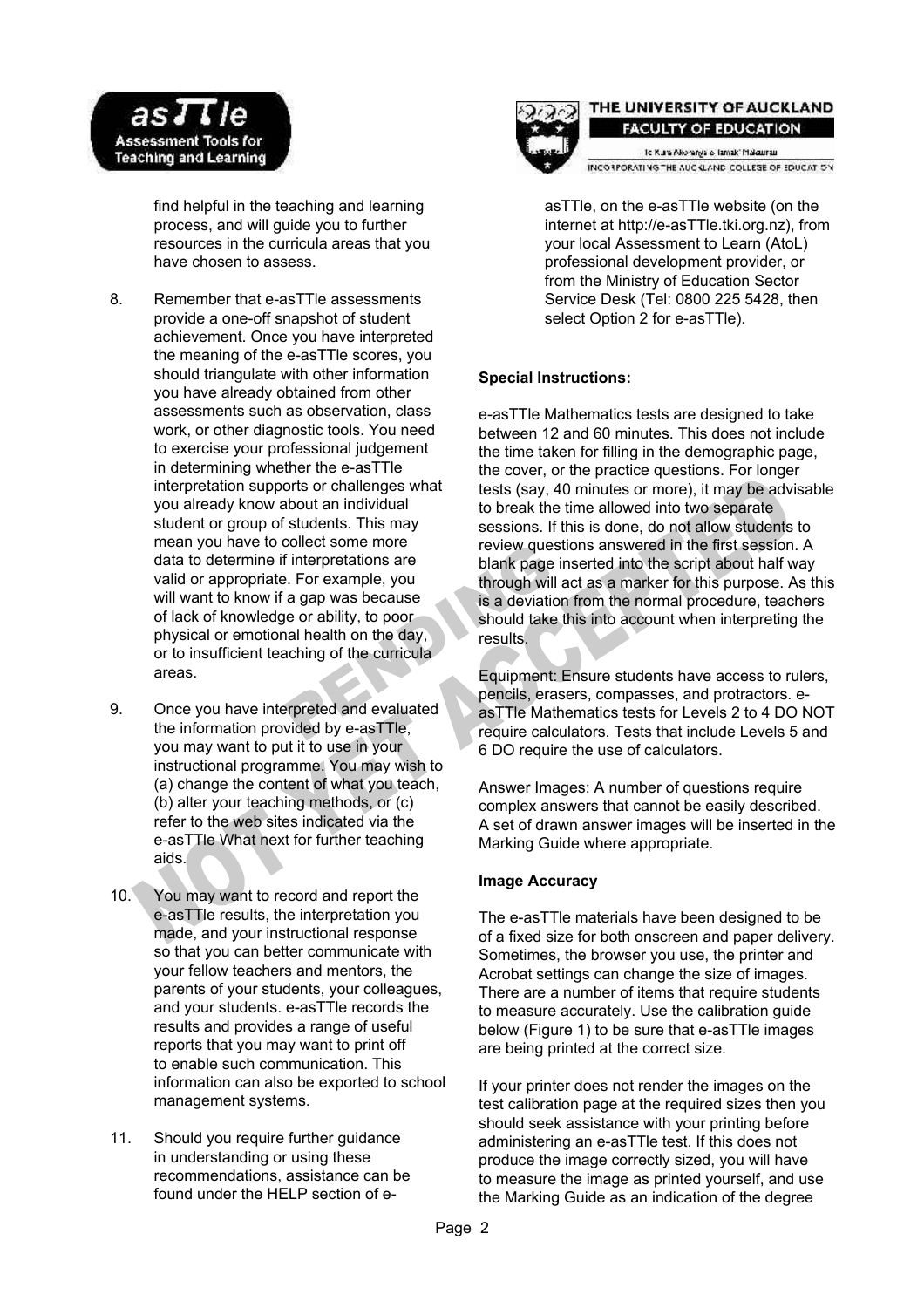

find helpful in the teaching and learning process, and will guide you to further resources in the curricula areas that you have chosen to assess.

- 8. Remember that e-asTTle assessments provide a one-off snapshot of student achievement. Once you have interpreted the meaning of the e-asTTle scores, you should triangulate with other information you have already obtained from other assessments such as observation, class work, or other diagnostic tools. You need to exercise your professional judgement in determining whether the e-asTTle interpretation supports or challenges what you already know about an individual student or group of students. This may mean you have to collect some more data to determine if interpretations are valid or appropriate. For example, you will want to know if a gap was because of lack of knowledge or ability, to poor physical or emotional health on the day, or to insufficient teaching of the curricula areas.
- 9. Once you have interpreted and evaluated the information provided by e-asTTle, you may want to put it to use in your instructional programme. You may wish to (a) change the content of what you teach, (b) alter your teaching methods, or (c) refer to the web sites indicated via the e-asTTle What next for further teaching aids.
- 10. You may want to record and report the e-asTTle results, the interpretation you made, and your instructional response so that you can better communicate with your fellow teachers and mentors, the parents of your students, your colleagues, and your students. e-asTTle records the results and provides a range of useful reports that you may want to print off to enable such communication. This information can also be exported to school management systems.
- 11. Should you require further guidance in understanding or using these recommendations, assistance can be found under the HELP section of e-



### THE UNIVERSITY OF AUCKLAND **FACULTY OF EDUCATION**

To Kuna Alkoranga is Tamak' Makaumau INCO LPORATING THE AUC CLAND COLLEGE OF EDUCATION

asTTle, on the e-asTTle website (on the internet at http://e-asTTle.tki.org.nz), from your local Assessment to Learn (AtoL) professional development provider, or from the Ministry of Education Sector Service Desk (Tel: 0800 225 5428, then select Option 2 for e-asTTle).

# **Special Instructions:**

e-asTTle Mathematics tests are designed to take between 12 and 60 minutes. This does not include the time taken for filling in the demographic page, the cover, or the practice questions. For longer tests (say, 40 minutes or more), it may be advisable to break the time allowed into two separate sessions. If this is done, do not allow students to review questions answered in the first session. A blank page inserted into the script about half way through will act as a marker for this purpose. As this is a deviation from the normal procedure, teachers should take this into account when interpreting the results.

Equipment: Ensure students have access to rulers, pencils, erasers, compasses, and protractors. easTTle Mathematics tests for Levels 2 to 4 DO NOT require calculators. Tests that include Levels 5 and 6 DO require the use of calculators.

Answer Images: A number of questions require complex answers that cannot be easily described. A set of drawn answer images will be inserted in the Marking Guide where appropriate.

### **Image Accuracy**

The e-asTTle materials have been designed to be of a fixed size for both onscreen and paper delivery. Sometimes, the browser you use, the printer and Acrobat settings can change the size of images. There are a number of items that require students to measure accurately. Use the calibration guide below (Figure 1) to be sure that e-asTTle images are being printed at the correct size.

If your printer does not render the images on the test calibration page at the required sizes then you should seek assistance with your printing before administering an e-asTTle test. If this does not produce the image correctly sized, you will have to measure the image as printed yourself, and use the Marking Guide as an indication of the degree